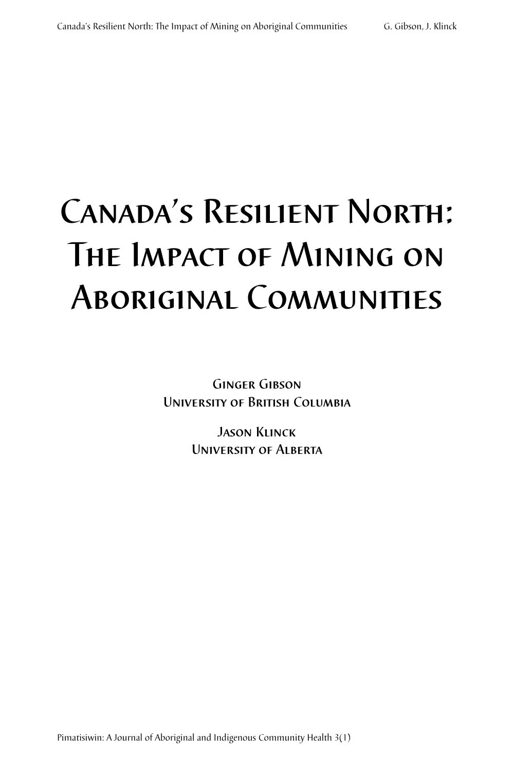# Canada's Resilient North: The Impact of Mining on Aboriginal Communities

Ginger Gibson University of British Columbia

> Jason Klinck University of Alberta

Pimatisiwin: A Journal of Aboriginal and Indigenous Community Health 3(1)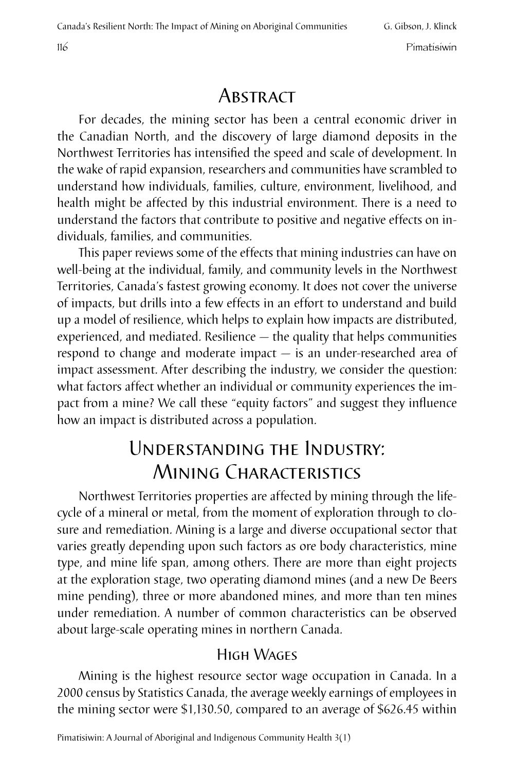# **ABSTRACT**

For decades, the mining sector has been a central economic driver in the Canadian North, and the discovery of large diamond deposits in the Northwest Territories has intensified the speed and scale of development. In the wake of rapid expansion, researchers and communities have scrambled to understand how individuals, families, culture, environment, livelihood, and health might be affected by this industrial environment. There is a need to understand the factors that contribute to positive and negative effects on individuals, families, and communities.

This paper reviews some of the effects that mining industries can have on well-being at the individual, family, and community levels in the Northwest Territories, Canada's fastest growing economy. It does not cover the universe of impacts, but drills into a few effects in an effort to understand and build up a model of resilience, which helps to explain how impacts are distributed, experienced, and mediated. Resilience — the quality that helps communities respond to change and moderate impact — is an under-researched area of impact assessment. After describing the industry, we consider the question: what factors affect whether an individual or community experiences the impact from a mine? We call these "equity factors" and suggest they influence how an impact is distributed across a population.

# Understanding the Industry: Mining Characteristics

Northwest Territories properties are affected by mining through the lifecycle of a mineral or metal, from the moment of exploration through to closure and remediation. Mining is a large and diverse occupational sector that varies greatly depending upon such factors as ore body characteristics, mine type, and mine life span, among others. There are more than eight projects at the exploration stage, two operating diamond mines (and a new De Beers mine pending), three or more abandoned mines, and more than ten mines under remediation. A number of common characteristics can be observed about large-scale operating mines in northern Canada.

## High Wages

Mining is the highest resource sector wage occupation in Canada. In a 2000 census by Statistics Canada, the average weekly earnings of employees in the mining sector were \$1,130.50, compared to an average of \$626.45 within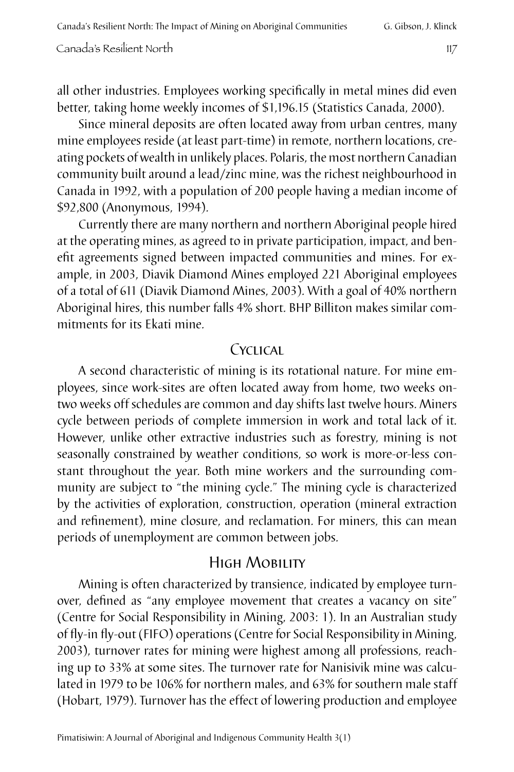Canada's Resilient North: The Impact of Mining on Aboriginal Communities G. Gibson, J. Klinck

Canada's Resilient North 117

all other industries. Employees working specifically in metal mines did even better, taking home weekly incomes of \$1,196.15 (Statistics Canada, 2000).

Since mineral deposits are often located away from urban centres, many mine employees reside (at least part-time) in remote, northern locations, creating pockets of wealth in unlikely places. Polaris, the most northern Canadian community built around a lead/zinc mine, was the richest neighbourhood in Canada in 1992, with a population of 200 people having a median income of \$92,800 (Anonymous, 1994).

Currently there are many northern and northern Aboriginal people hired at the operating mines, as agreed to in private participation, impact, and benefit agreements signed between impacted communities and mines. For example, in 2003, Diavik Diamond Mines employed 221 Aboriginal employees of a total of 611 (Diavik Diamond Mines, 2003). With a goal of 40% northern Aboriginal hires, this number falls 4% short. BHP Billiton makes similar commitments for its Ekati mine.

#### $CYC11CA1$

A second characteristic of mining is its rotational nature. For mine employees, since work-sites are often located away from home, two weeks ontwo weeks off schedules are common and day shifts last twelve hours. Miners cycle between periods of complete immersion in work and total lack of it. However, unlike other extractive industries such as forestry, mining is not seasonally constrained by weather conditions, so work is more-or-less constant throughout the year. Both mine workers and the surrounding community are subject to "the mining cycle." The mining cycle is characterized by the activities of exploration, construction, operation (mineral extraction and refinement), mine closure, and reclamation. For miners, this can mean periods of unemployment are common between jobs.

## High Mobility

Mining is often characterized by transience, indicated by employee turnover, defined as "any employee movement that creates a vacancy on site" (Centre for Social Responsibility in Mining, 2003: 1). In an Australian study of fly-in fly-out (FIFO) operations (Centre for Social Responsibility in Mining, 2003), turnover rates for mining were highest among all professions, reaching up to 33% at some sites. The turnover rate for Nanisivik mine was calculated in 1979 to be 106% for northern males, and 63% for southern male staff (Hobart, 1979). Turnover has the effect of lowering production and employee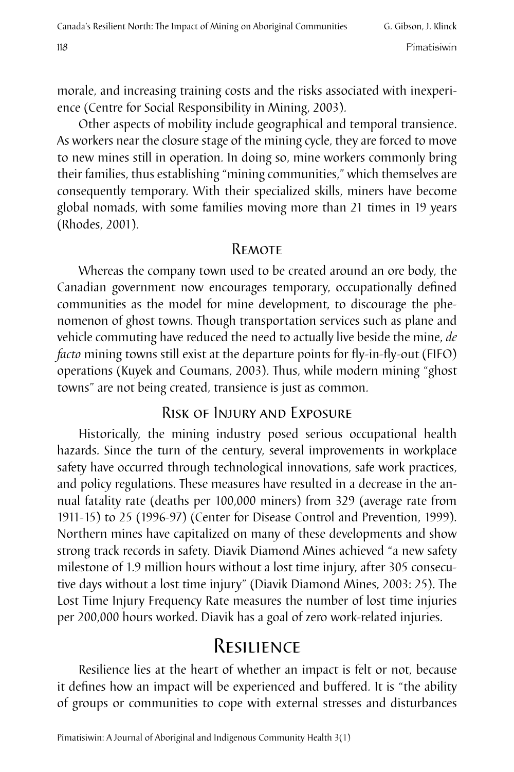morale, and increasing training costs and the risks associated with inexperience (Centre for Social Responsibility in Mining, 2003).

Other aspects of mobility include geographical and temporal transience. As workers near the closure stage of the mining cycle, they are forced to move to new mines still in operation. In doing so, mine workers commonly bring their families, thus establishing "mining communities," which themselves are consequently temporary. With their specialized skills, miners have become global nomads, with some families moving more than 21 times in 19 years (Rhodes, 2001).

#### **REMOTE**

Whereas the company town used to be created around an ore body, the Canadian government now encourages temporary, occupationally defined communities as the model for mine development, to discourage the phenomenon of ghost towns. Though transportation services such as plane and vehicle commuting have reduced the need to actually live beside the mine, *de facto* mining towns still exist at the departure points for fly-in-fly-out (FIFO) operations (Kuyek and Coumans, 2003). Thus, while modern mining "ghost towns" are not being created, transience is just as common.

## Risk of Injury and Exposure

Historically, the mining industry posed serious occupational health hazards. Since the turn of the century, several improvements in workplace safety have occurred through technological innovations, safe work practices, and policy regulations. These measures have resulted in a decrease in the annual fatality rate (deaths per 100,000 miners) from 329 (average rate from 1911-15) to 25 (1996-97) (Center for Disease Control and Prevention, 1999). Northern mines have capitalized on many of these developments and show strong track records in safety. Diavik Diamond Mines achieved "a new safety milestone of 1.9 million hours without a lost time injury, after 305 consecutive days without a lost time injury" (Diavik Diamond Mines, 2003: 25). The Lost Time Injury Frequency Rate measures the number of lost time injuries per 200,000 hours worked. Diavik has a goal of zero work-related injuries.

# Resilience

Resilience lies at the heart of whether an impact is felt or not, because it defines how an impact will be experienced and buffered. It is "the ability of groups or communities to cope with external stresses and disturbances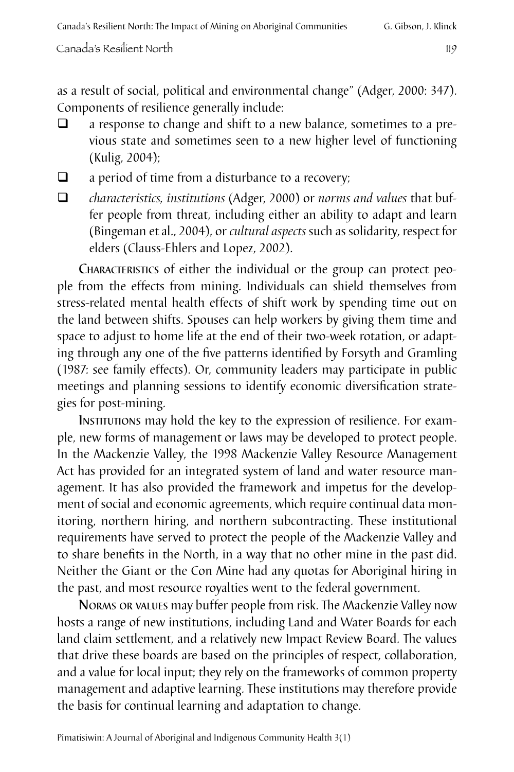as a result of social, political and environmental change" (Adger, 2000: 347). Components of resilience generally include:

- $\Box$  a response to change and shift to a new balance, sometimes to a previous state and sometimes seen to a new higher level of functioning (Kulig, 2004);
- $\Box$  a period of time from a disturbance to a recovery;
- q *characteristics, institutions* (Adger, 2000) or *norms and values* that buffer people from threat, including either an ability to adapt and learn (Bingeman et al., 2004), or *cultural aspects* such as solidarity, respect for elders (Clauss-Ehlers and Lopez, 2002).

Characteristics of either the individual or the group can protect people from the effects from mining. Individuals can shield themselves from stress-related mental health effects of shift work by spending time out on the land between shifts. Spouses can help workers by giving them time and space to adjust to home life at the end of their two-week rotation, or adapting through any one of the five patterns identified by Forsyth and Gramling (1987: see family effects). Or, community leaders may participate in public meetings and planning sessions to identify economic diversification strategies for post-mining.

INSTITUTIONS may hold the key to the expression of resilience. For example, new forms of management or laws may be developed to protect people. In the Mackenzie Valley, the 1998 Mackenzie Valley Resource Management Act has provided for an integrated system of land and water resource management. It has also provided the framework and impetus for the development of social and economic agreements, which require continual data monitoring, northern hiring, and northern subcontracting. These institutional requirements have served to protect the people of the Mackenzie Valley and to share benefits in the North, in a way that no other mine in the past did. Neither the Giant or the Con Mine had any quotas for Aboriginal hiring in the past, and most resource royalties went to the federal government.

Norms or values may buffer people from risk. The Mackenzie Valley now hosts a range of new institutions, including Land and Water Boards for each land claim settlement, and a relatively new Impact Review Board. The values that drive these boards are based on the principles of respect, collaboration, and a value for local input; they rely on the frameworks of common property management and adaptive learning. These institutions may therefore provide the basis for continual learning and adaptation to change.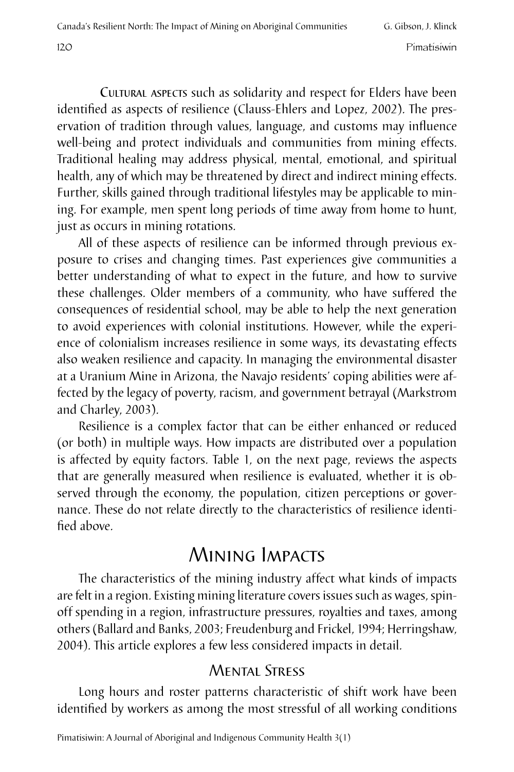Cultural aspects such as solidarity and respect for Elders have been identified as aspects of resilience (Clauss-Ehlers and Lopez, 2002). The preservation of tradition through values, language, and customs may influence well-being and protect individuals and communities from mining effects. Traditional healing may address physical, mental, emotional, and spiritual health, any of which may be threatened by direct and indirect mining effects. Further, skills gained through traditional lifestyles may be applicable to mining. For example, men spent long periods of time away from home to hunt, just as occurs in mining rotations.

All of these aspects of resilience can be informed through previous exposure to crises and changing times. Past experiences give communities a better understanding of what to expect in the future, and how to survive these challenges. Older members of a community, who have suffered the consequences of residential school, may be able to help the next generation to avoid experiences with colonial institutions. However, while the experience of colonialism increases resilience in some ways, its devastating effects also weaken resilience and capacity. In managing the environmental disaster at a Uranium Mine in Arizona, the Navajo residents' coping abilities were affected by the legacy of poverty, racism, and government betrayal (Markstrom and Charley, 2003).

Resilience is a complex factor that can be either enhanced or reduced (or both) in multiple ways. How impacts are distributed over a population is affected by equity factors. Table 1, on the next page, reviews the aspects that are generally measured when resilience is evaluated, whether it is observed through the economy, the population, citizen perceptions or governance. These do not relate directly to the characteristics of resilience identified above.

# Mining Impacts

The characteristics of the mining industry affect what kinds of impacts are felt in a region. Existing mining literature covers issues such as wages, spinoff spending in a region, infrastructure pressures, royalties and taxes, among others (Ballard and Banks, 2003; Freudenburg and Frickel, 1994; Herringshaw, 2004). This article explores a few less considered impacts in detail.

## Mental Stress

Long hours and roster patterns characteristic of shift work have been identified by workers as among the most stressful of all working conditions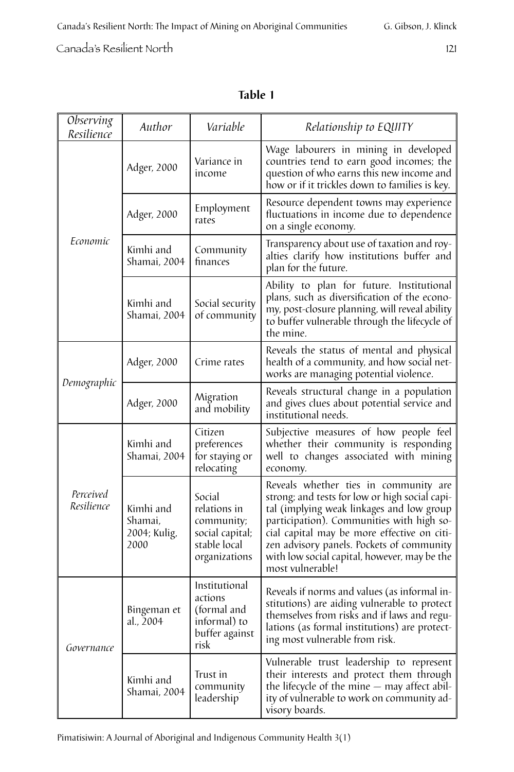#### **Table 1**

| Observing<br>Resilience | Author                                       | Variable                                                                                 | Relationship to EQUITY                                                                                                                                                                                                                                                                                                                            |  |
|-------------------------|----------------------------------------------|------------------------------------------------------------------------------------------|---------------------------------------------------------------------------------------------------------------------------------------------------------------------------------------------------------------------------------------------------------------------------------------------------------------------------------------------------|--|
|                         | Adger, 2000                                  | Variance in<br>income                                                                    | Wage labourers in mining in developed<br>countries tend to earn good incomes; the<br>question of who earns this new income and<br>how or if it trickles down to families is key.                                                                                                                                                                  |  |
| Economic                | Adger, 2000                                  | Employment<br>rates                                                                      | Resource dependent towns may experience<br>fluctuations in income due to dependence<br>on a single economy.                                                                                                                                                                                                                                       |  |
|                         | Kimhi and<br>Shamai, 2004                    | Community<br>finances                                                                    | Transparency about use of taxation and roy-<br>alties clarify how institutions buffer and<br>plan for the future.                                                                                                                                                                                                                                 |  |
|                         | Kimhi and<br>Shamai, 2004                    | Social security<br>of community                                                          | Ability to plan for future. Institutional<br>plans, such as diversification of the econo-<br>my, post-closure planning, will reveal ability<br>to buffer vulnerable through the lifecycle of<br>the mine.                                                                                                                                         |  |
|                         | Adger, 2000                                  | Crime rates                                                                              | Reveals the status of mental and physical<br>health of a community, and how social net-<br>works are managing potential violence.                                                                                                                                                                                                                 |  |
| Demographic             | Adger, 2000                                  | Migration<br>and mobility                                                                | Reveals structural change in a population<br>and gives clues about potential service and<br>institutional needs.                                                                                                                                                                                                                                  |  |
| Perceived<br>Resilience | Kimhi and<br>Shamai, 2004                    | Citizen<br>preferences<br>for staying or<br>relocating                                   | Subjective measures of how people feel<br>whether their community is responding<br>well to changes associated with mining<br>economy.                                                                                                                                                                                                             |  |
|                         | Kimhi and<br>Shamai,<br>2004; Kulig,<br>2000 | Social<br>relations in<br>community;<br>social capital;<br>stable local<br>organizations | Reveals whether ties in community are<br>strong; and tests for low or high social capi-<br>tal (implying weak linkages and low group<br>participation). Communities with high so-<br>cial capital may be more effective on citi-<br>zen advisory panels. Pockets of community<br>with low social capital, however, may be the<br>most vulnerable! |  |
| Governance              | Bingeman et<br>al 2004                       | Institutional<br>actions<br>(formal and<br>informal) to<br>buffer against<br>risk        | Reveals if norms and values (as informal in-<br>stitutions) are aiding vulnerable to protect<br>themselves from risks and if laws and regu-<br>lations (as formal institutions) are protect-<br>ing most vulnerable from risk.                                                                                                                    |  |
|                         | Kimhi and<br>Shamai, 2004                    | Trust in<br>community<br>leadership                                                      | Vulnerable trust leadership to represent<br>their interests and protect them through<br>the lifecycle of the mine $-$ may affect abil-<br>ity of vulnerable to work on community ad-<br>visory boards.                                                                                                                                            |  |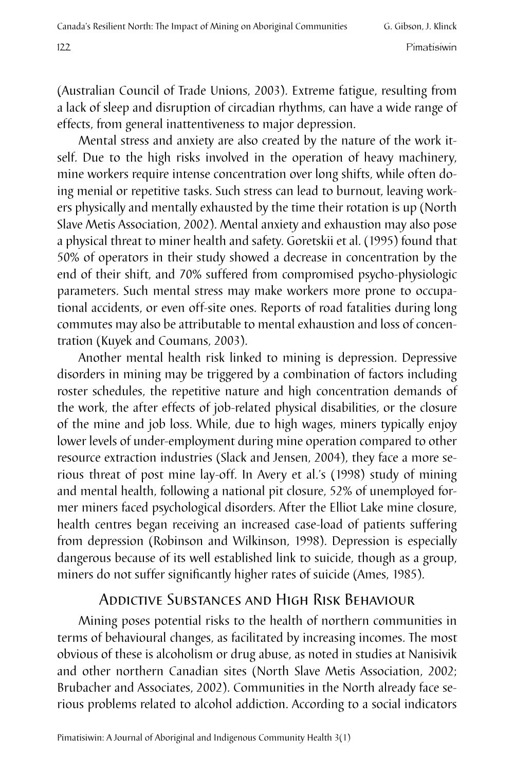(Australian Council of Trade Unions, 2003). Extreme fatigue, resulting from a lack of sleep and disruption of circadian rhythms, can have a wide range of effects, from general inattentiveness to major depression.

Mental stress and anxiety are also created by the nature of the work itself. Due to the high risks involved in the operation of heavy machinery, mine workers require intense concentration over long shifts, while often doing menial or repetitive tasks. Such stress can lead to burnout, leaving workers physically and mentally exhausted by the time their rotation is up (North Slave Metis Association, 2002). Mental anxiety and exhaustion may also pose a physical threat to miner health and safety. Goretskii et al. (1995) found that 50% of operators in their study showed a decrease in concentration by the end of their shift, and 70% suffered from compromised psycho-physiologic parameters. Such mental stress may make workers more prone to occupational accidents, or even off-site ones. Reports of road fatalities during long commutes may also be attributable to mental exhaustion and loss of concentration (Kuyek and Coumans, 2003).

Another mental health risk linked to mining is depression. Depressive disorders in mining may be triggered by a combination of factors including roster schedules, the repetitive nature and high concentration demands of the work, the after effects of job-related physical disabilities, or the closure of the mine and job loss. While, due to high wages, miners typically enjoy lower levels of under-employment during mine operation compared to other resource extraction industries (Slack and Jensen, 2004), they face a more serious threat of post mine lay-off. In Avery et al.'s (1998) study of mining and mental health, following a national pit closure, 52% of unemployed former miners faced psychological disorders. After the Elliot Lake mine closure, health centres began receiving an increased case-load of patients suffering from depression (Robinson and Wilkinson, 1998). Depression is especially dangerous because of its well established link to suicide, though as a group, miners do not suffer significantly higher rates of suicide (Ames, 1985).

#### Addictive Substances and High Risk Behaviour

Mining poses potential risks to the health of northern communities in terms of behavioural changes, as facilitated by increasing incomes. The most obvious of these is alcoholism or drug abuse, as noted in studies at Nanisivik and other northern Canadian sites (North Slave Metis Association, 2002; Brubacher and Associates, 2002). Communities in the North already face serious problems related to alcohol addiction. According to a social indicators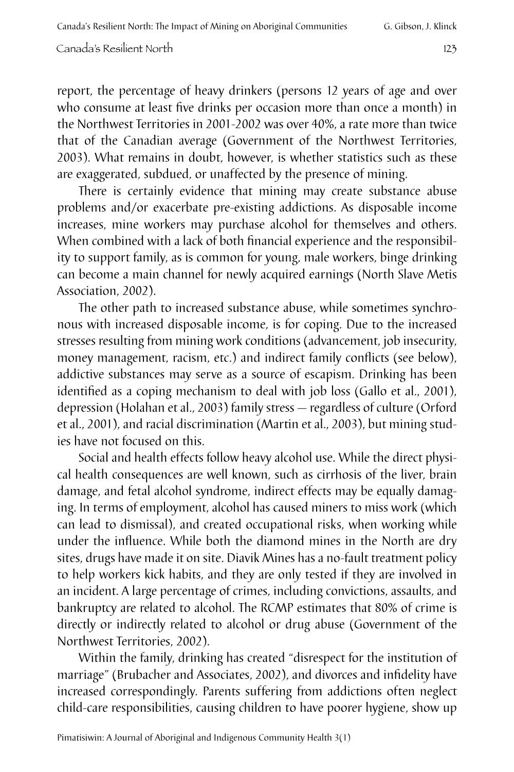report, the percentage of heavy drinkers (persons 12 years of age and over who consume at least five drinks per occasion more than once a month) in the Northwest Territories in 2001-2002 was over 40%, a rate more than twice that of the Canadian average (Government of the Northwest Territories, 2003). What remains in doubt, however, is whether statistics such as these are exaggerated, subdued, or unaffected by the presence of mining.

There is certainly evidence that mining may create substance abuse problems and/or exacerbate pre-existing addictions. As disposable income increases, mine workers may purchase alcohol for themselves and others. When combined with a lack of both financial experience and the responsibility to support family, as is common for young, male workers, binge drinking can become a main channel for newly acquired earnings (North Slave Metis Association. 2002).

The other path to increased substance abuse, while sometimes synchronous with increased disposable income, is for coping. Due to the increased stresses resulting from mining work conditions (advancement, job insecurity, money management, racism, etc.) and indirect family conflicts (see below), addictive substances may serve as a source of escapism. Drinking has been identified as a coping mechanism to deal with job loss (Gallo et al., 2001), depression (Holahan et al., 2003) family stress — regardless of culture (Orford et al., 2001), and racial discrimination (Martin et al., 2003), but mining studies have not focused on this.

Social and health effects follow heavy alcohol use. While the direct physical health consequences are well known, such as cirrhosis of the liver, brain damage, and fetal alcohol syndrome, indirect effects may be equally damaging. In terms of employment, alcohol has caused miners to miss work (which can lead to dismissal), and created occupational risks, when working while under the influence. While both the diamond mines in the North are dry sites, drugs have made it on site. Diavik Mines has a no-fault treatment policy to help workers kick habits, and they are only tested if they are involved in an incident. A large percentage of crimes, including convictions, assaults, and bankruptcy are related to alcohol. The RCMP estimates that 80% of crime is directly or indirectly related to alcohol or drug abuse (Government of the Northwest Territories, 2002).

Within the family, drinking has created "disrespect for the institution of marriage" (Brubacher and Associates, 2002), and divorces and infidelity have increased correspondingly. Parents suffering from addictions often neglect child-care responsibilities, causing children to have poorer hygiene, show up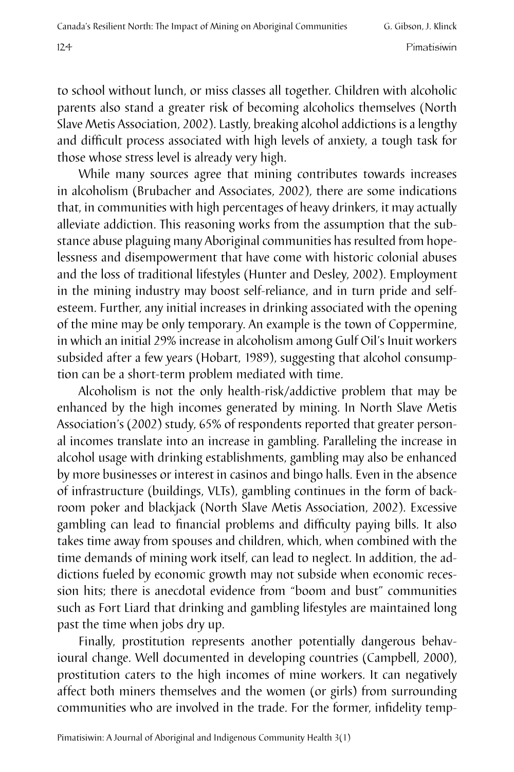to school without lunch, or miss classes all together. Children with alcoholic parents also stand a greater risk of becoming alcoholics themselves (North Slave Metis Association, 2002). Lastly, breaking alcohol addictions is a lengthy and difficult process associated with high levels of anxiety, a tough task for those whose stress level is already very high.

While many sources agree that mining contributes towards increases in alcoholism (Brubacher and Associates, 2002), there are some indications that, in communities with high percentages of heavy drinkers, it may actually alleviate addiction. This reasoning works from the assumption that the substance abuse plaguing many Aboriginal communities has resulted from hopelessness and disempowerment that have come with historic colonial abuses and the loss of traditional lifestyles (Hunter and Desley, 2002). Employment in the mining industry may boost self-reliance, and in turn pride and selfesteem. Further, any initial increases in drinking associated with the opening of the mine may be only temporary. An example is the town of Coppermine, in which an initial 29% increase in alcoholism among Gulf Oil's Inuit workers subsided after a few years (Hobart, 1989), suggesting that alcohol consumption can be a short-term problem mediated with time.

Alcoholism is not the only health-risk/addictive problem that may be enhanced by the high incomes generated by mining. In North Slave Metis Association's (2002) study, 65% of respondents reported that greater personal incomes translate into an increase in gambling. Paralleling the increase in alcohol usage with drinking establishments, gambling may also be enhanced by more businesses or interest in casinos and bingo halls. Even in the absence of infrastructure (buildings, VLTs), gambling continues in the form of backroom poker and blackjack (North Slave Metis Association, 2002). Excessive gambling can lead to financial problems and difficulty paying bills. It also takes time away from spouses and children, which, when combined with the time demands of mining work itself, can lead to neglect. In addition, the addictions fueled by economic growth may not subside when economic recession hits; there is anecdotal evidence from "boom and bust" communities such as Fort Liard that drinking and gambling lifestyles are maintained long past the time when jobs dry up.

Finally, prostitution represents another potentially dangerous behavioural change. Well documented in developing countries (Campbell, 2000), prostitution caters to the high incomes of mine workers. It can negatively affect both miners themselves and the women (or girls) from surrounding communities who are involved in the trade. For the former, infidelity temp-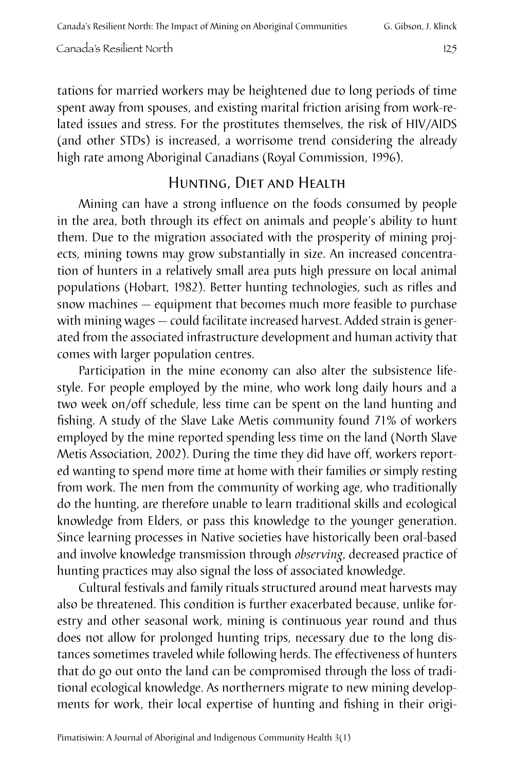tations for married workers may be heightened due to long periods of time spent away from spouses, and existing marital friction arising from work-related issues and stress. For the prostitutes themselves, the risk of HIV/AIDS (and other STDs) is increased, a worrisome trend considering the already high rate among Aboriginal Canadians (Royal Commission, 1996).

## Hunting, Diet and Health

Mining can have a strong influence on the foods consumed by people in the area, both through its effect on animals and people's ability to hunt them. Due to the migration associated with the prosperity of mining projects, mining towns may grow substantially in size. An increased concentration of hunters in a relatively small area puts high pressure on local animal populations (Hobart, 1982). Better hunting technologies, such as rifles and snow machines — equipment that becomes much more feasible to purchase with mining wages — could facilitate increased harvest. Added strain is generated from the associated infrastructure development and human activity that comes with larger population centres.

Participation in the mine economy can also alter the subsistence lifestyle. For people employed by the mine, who work long daily hours and a two week on/off schedule, less time can be spent on the land hunting and fishing. A study of the Slave Lake Metis community found 71% of workers employed by the mine reported spending less time on the land (North Slave Metis Association, 2002). During the time they did have off, workers reported wanting to spend more time at home with their families or simply resting from work. The men from the community of working age, who traditionally do the hunting, are therefore unable to learn traditional skills and ecological knowledge from Elders, or pass this knowledge to the younger generation. Since learning processes in Native societies have historically been oral-based and involve knowledge transmission through *observing*, decreased practice of hunting practices may also signal the loss of associated knowledge.

Cultural festivals and family rituals structured around meat harvests may also be threatened. This condition is further exacerbated because, unlike forestry and other seasonal work, mining is continuous year round and thus does not allow for prolonged hunting trips, necessary due to the long distances sometimes traveled while following herds. The effectiveness of hunters that do go out onto the land can be compromised through the loss of traditional ecological knowledge. As northerners migrate to new mining developments for work, their local expertise of hunting and fishing in their origi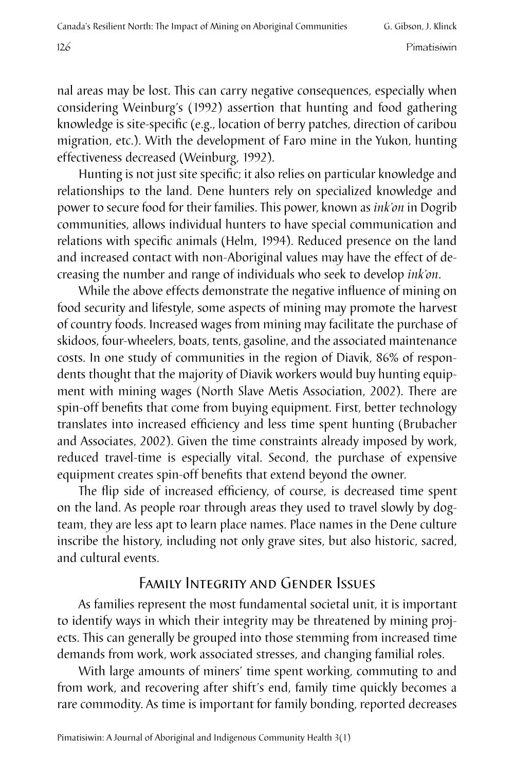nal areas may be lost. This can carry negative consequences, especially when considering Weinburg's (1992) assertion that hunting and food gathering knowledge is site-specific (e.g., location of berry patches, direction of caribou migration, etc.). With the development of Faro mine in the Yukon, hunting effectiveness decreased (Weinburg, 1992).

Hunting is not just site specific; it also relies on particular knowledge and relationships to the land. Dene hunters rely on specialized knowledge and power to secure food for their families. This power, known as *ink'on* in Dogrib communities, allows individual hunters to have special communication and relations with specific animals (Helm, 1994). Reduced presence on the land and increased contact with non-Aboriginal values may have the effect of decreasing the number and range of individuals who seek to develop *ink'on*.

While the above effects demonstrate the negative influence of mining on food security and lifestyle, some aspects of mining may promote the harvest of country foods. Increased wages from mining may facilitate the purchase of skidoos, four-wheelers, boats, tents, gasoline, and the associated maintenance costs. In one study of communities in the region of Diavik, 86% of respondents thought that the majority of Diavik workers would buy hunting equipment with mining wages (North Slave Metis Association, 2002). There are spin-off benefits that come from buying equipment. First, better technology translates into increased efficiency and less time spent hunting (Brubacher and Associates, 2002). Given the time constraints already imposed by work, reduced travel-time is especially vital. Second, the purchase of expensive equipment creates spin-off benefits that extend beyond the owner.

The flip side of increased efficiency, of course, is decreased time spent on the land. As people roar through areas they used to travel slowly by dogteam, they are less apt to learn place names. Place names in the Dene culture inscribe the history, including not only grave sites, but also historic, sacred, and cultural events.

## Family Integrity and Gender Issues

As families represent the most fundamental societal unit, it is important to identify ways in which their integrity may be threatened by mining projects. This can generally be grouped into those stemming from increased time demands from work, work associated stresses, and changing familial roles.

With large amounts of miners' time spent working, commuting to and from work, and recovering after shift's end, family time quickly becomes a rare commodity. As time is important for family bonding, reported decreases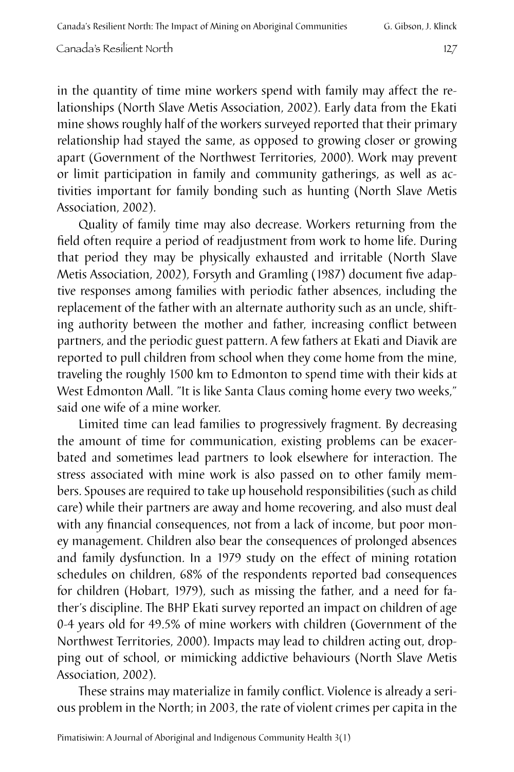in the quantity of time mine workers spend with family may affect the relationships (North Slave Metis Association, 2002). Early data from the Ekati mine shows roughly half of the workers surveyed reported that their primary relationship had stayed the same, as opposed to growing closer or growing apart (Government of the Northwest Territories, 2000). Work may prevent or limit participation in family and community gatherings, as well as activities important for family bonding such as hunting (North Slave Metis Association, 2002).

Quality of family time may also decrease. Workers returning from the field often require a period of readjustment from work to home life. During that period they may be physically exhausted and irritable (North Slave Metis Association, 2002), Forsyth and Gramling (1987) document five adaptive responses among families with periodic father absences, including the replacement of the father with an alternate authority such as an uncle, shifting authority between the mother and father, increasing conflict between partners, and the periodic guest pattern. A few fathers at Ekati and Diavik are reported to pull children from school when they come home from the mine, traveling the roughly 1500 km to Edmonton to spend time with their kids at West Edmonton Mall. "It is like Santa Claus coming home every two weeks," said one wife of a mine worker.

Limited time can lead families to progressively fragment. By decreasing the amount of time for communication, existing problems can be exacerbated and sometimes lead partners to look elsewhere for interaction. The stress associated with mine work is also passed on to other family members. Spouses are required to take up household responsibilities (such as child care) while their partners are away and home recovering, and also must deal with any financial consequences, not from a lack of income, but poor money management. Children also bear the consequences of prolonged absences and family dysfunction. In a 1979 study on the effect of mining rotation schedules on children, 68% of the respondents reported bad consequences for children (Hobart, 1979), such as missing the father, and a need for father's discipline. The BHP Ekati survey reported an impact on children of age 0-4 years old for 49.5% of mine workers with children (Government of the Northwest Territories, 2000). Impacts may lead to children acting out, dropping out of school, or mimicking addictive behaviours (North Slave Metis Association, 2002).

These strains may materialize in family conflict. Violence is already a serious problem in the North; in 2003, the rate of violent crimes per capita in the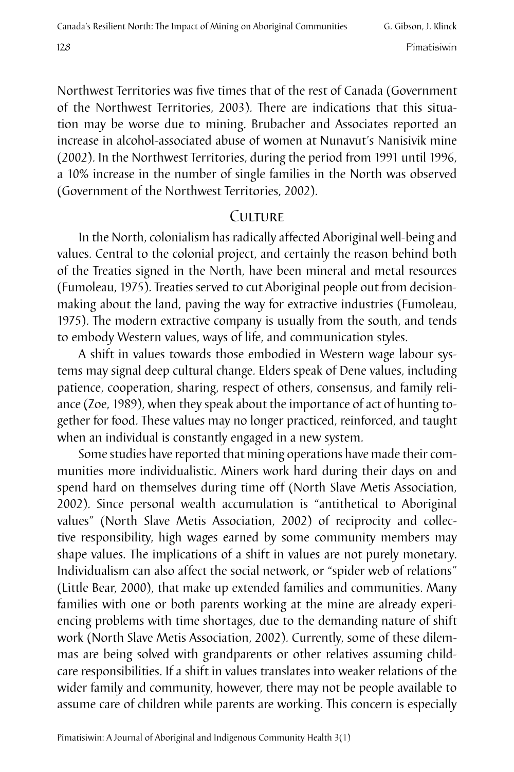Northwest Territories was five times that of the rest of Canada (Government of the Northwest Territories, 2003). There are indications that this situation may be worse due to mining. Brubacher and Associates reported an increase in alcohol-associated abuse of women at Nunavut's Nanisivik mine (2002). In the Northwest Territories, during the period from 1991 until 1996, a 10% increase in the number of single families in the North was observed (Government of the Northwest Territories, 2002).

#### Culture

In the North, colonialism has radically affected Aboriginal well-being and values. Central to the colonial project, and certainly the reason behind both of the Treaties signed in the North, have been mineral and metal resources (Fumoleau, 1975). Treaties served to cut Aboriginal people out from decisionmaking about the land, paving the way for extractive industries (Fumoleau, 1975). The modern extractive company is usually from the south, and tends to embody Western values, ways of life, and communication styles.

A shift in values towards those embodied in Western wage labour systems may signal deep cultural change. Elders speak of Dene values, including patience, cooperation, sharing, respect of others, consensus, and family reliance (Zoe, 1989), when they speak about the importance of act of hunting together for food. These values may no longer practiced, reinforced, and taught when an individual is constantly engaged in a new system.

Some studies have reported that mining operations have made their communities more individualistic. Miners work hard during their days on and spend hard on themselves during time off (North Slave Metis Association, 2002). Since personal wealth accumulation is "antithetical to Aboriginal values" (North Slave Metis Association, 2002) of reciprocity and collective responsibility, high wages earned by some community members may shape values. The implications of a shift in values are not purely monetary. Individualism can also affect the social network, or "spider web of relations" (Little Bear, 2000), that make up extended families and communities. Many families with one or both parents working at the mine are already experiencing problems with time shortages, due to the demanding nature of shift work (North Slave Metis Association, 2002). Currently, some of these dilemmas are being solved with grandparents or other relatives assuming childcare responsibilities. If a shift in values translates into weaker relations of the wider family and community, however, there may not be people available to assume care of children while parents are working. This concern is especially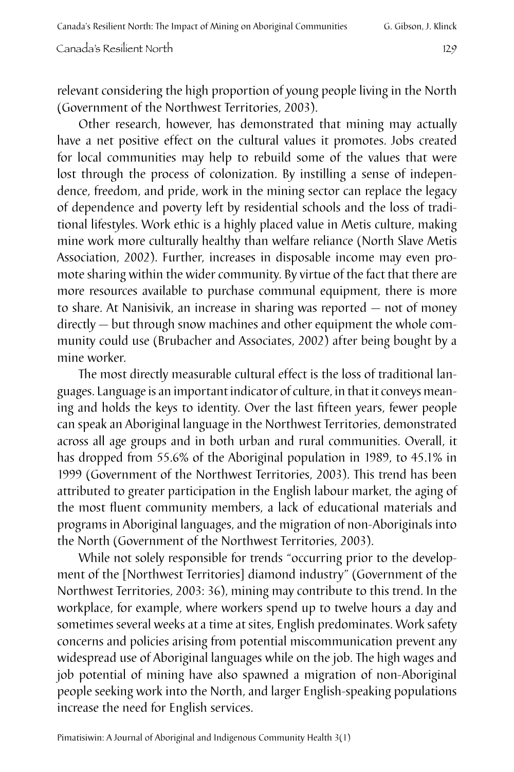relevant considering the high proportion of young people living in the North (Government of the Northwest Territories, 2003).

Other research, however, has demonstrated that mining may actually have a net positive effect on the cultural values it promotes. Jobs created for local communities may help to rebuild some of the values that were lost through the process of colonization. By instilling a sense of independence, freedom, and pride, work in the mining sector can replace the legacy of dependence and poverty left by residential schools and the loss of traditional lifestyles. Work ethic is a highly placed value in Metis culture, making mine work more culturally healthy than welfare reliance (North Slave Metis Association, 2002). Further, increases in disposable income may even promote sharing within the wider community. By virtue of the fact that there are more resources available to purchase communal equipment, there is more to share. At Nanisivik, an increase in sharing was reported — not of money directly — but through snow machines and other equipment the whole community could use (Brubacher and Associates, 2002) after being bought by a mine worker.

The most directly measurable cultural effect is the loss of traditional languages. Language is an important indicator of culture, in that it conveys meaning and holds the keys to identity. Over the last fifteen years, fewer people can speak an Aboriginal language in the Northwest Territories, demonstrated across all age groups and in both urban and rural communities. Overall, it has dropped from 55.6% of the Aboriginal population in 1989, to 45.1% in 1999 (Government of the Northwest Territories, 2003). This trend has been attributed to greater participation in the English labour market, the aging of the most fluent community members, a lack of educational materials and programs in Aboriginal languages, and the migration of non-Aboriginals into the North (Government of the Northwest Territories, 2003).

While not solely responsible for trends "occurring prior to the development of the [Northwest Territories] diamond industry" (Government of the Northwest Territories, 2003: 36), mining may contribute to this trend. In the workplace, for example, where workers spend up to twelve hours a day and sometimes several weeks at a time at sites, English predominates. Work safety concerns and policies arising from potential miscommunication prevent any widespread use of Aboriginal languages while on the job. The high wages and job potential of mining have also spawned a migration of non-Aboriginal people seeking work into the North, and larger English-speaking populations increase the need for English services.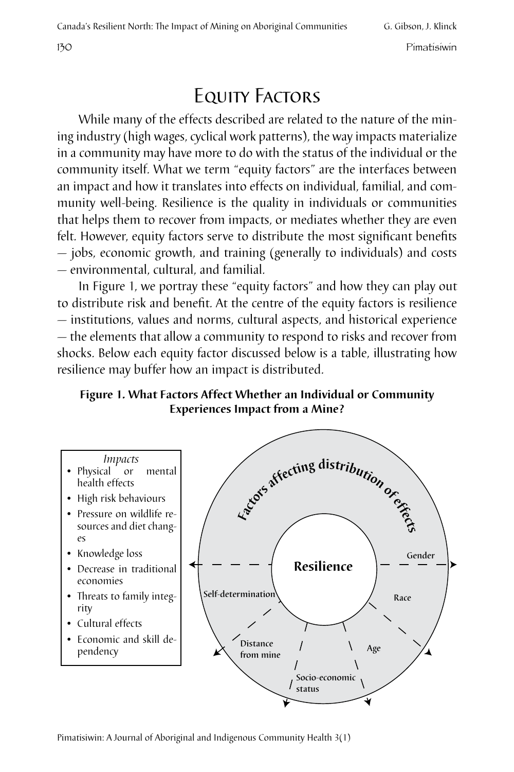# Equity Factors

While many of the effects described are related to the nature of the mining industry (high wages, cyclical work patterns), the way impacts materialize in a community may have more to do with the status of the individual or the community itself. What we term "equity factors" are the interfaces between an impact and how it translates into effects on individual, familial, and community well-being. Resilience is the quality in individuals or communities that helps them to recover from impacts, or mediates whether they are even felt. However, equity factors serve to distribute the most significant benefits — jobs, economic growth, and training (generally to individuals) and costs — environmental, cultural, and familial.

In Figure 1, we portray these "equity factors" and how they can play out to distribute risk and benefit. At the centre of the equity factors is resilience — institutions, values and norms, cultural aspects, and historical experience — the elements that allow a community to respond to risks and recover from shocks. Below each equity factor discussed below is a table, illustrating how resilience may buffer how an impact is distributed.

**Figure 1. What Factors Affect Whether an Individual or Community Experiences Impact from a Mine?** 



Pimatisiwin: A Journal of Aboriginal and Indigenous Community Health 3(1)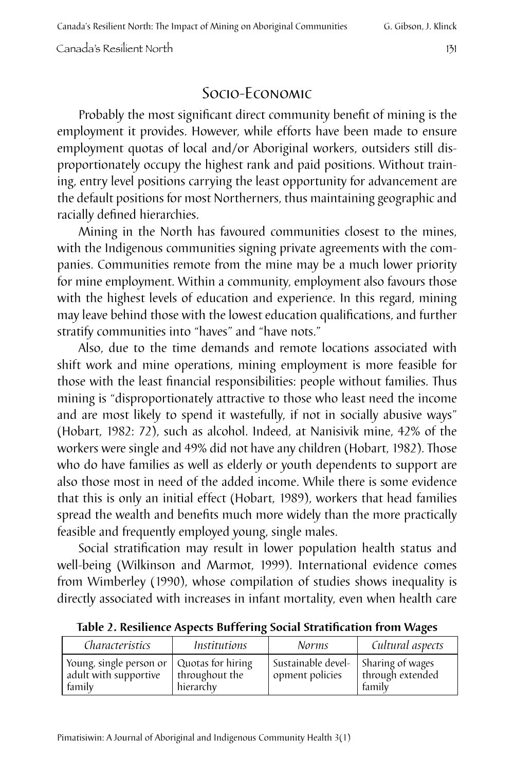## Socio-Economic

Probably the most significant direct community benefit of mining is the employment it provides. However, while efforts have been made to ensure employment quotas of local and/or Aboriginal workers, outsiders still disproportionately occupy the highest rank and paid positions. Without training, entry level positions carrying the least opportunity for advancement are the default positions for most Northerners, thus maintaining geographic and racially defined hierarchies.

Mining in the North has favoured communities closest to the mines, with the Indigenous communities signing private agreements with the companies. Communities remote from the mine may be a much lower priority for mine employment. Within a community, employment also favours those with the highest levels of education and experience. In this regard, mining may leave behind those with the lowest education qualifications, and further stratify communities into "haves" and "have nots."

Also, due to the time demands and remote locations associated with shift work and mine operations, mining employment is more feasible for those with the least financial responsibilities: people without families. Thus mining is "disproportionately attractive to those who least need the income and are most likely to spend it wastefully, if not in socially abusive ways" (Hobart, 1982: 72), such as alcohol. Indeed, at Nanisivik mine, 42% of the workers were single and 49% did not have any children (Hobart, 1982). Those who do have families as well as elderly or youth dependents to support are also those most in need of the added income. While there is some evidence that this is only an initial effect (Hobart, 1989), workers that head families spread the wealth and benefits much more widely than the more practically feasible and frequently employed young, single males.

Social stratification may result in lower population health status and well-being (Wilkinson and Marmot, 1999). International evidence comes from Wimberley (1990), whose compilation of studies shows inequality is directly associated with increases in infant mortality, even when health care

| Characteristics                                                                  | <i>Institutions</i>         | <b>Norms</b>                                             | Cultural aspects           |
|----------------------------------------------------------------------------------|-----------------------------|----------------------------------------------------------|----------------------------|
| Young, single person or $ $ Quotas for hiring<br>adult with supportive<br>family | throughout the<br>hierarchy | Sustainable devel-   Sharing of wages<br>opment policies | through extended<br>family |

**Table 2. Resilience Aspects Buffering Social Stratification from Wages**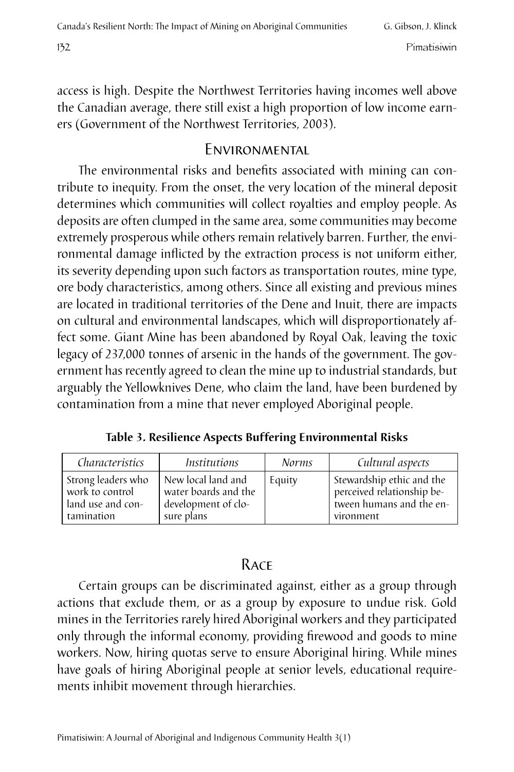access is high. Despite the Northwest Territories having incomes well above the Canadian average, there still exist a high proportion of low income earners (Government of the Northwest Territories, 2003).

#### **ENVIRONMENTAL**

The environmental risks and benefits associated with mining can contribute to inequity. From the onset, the very location of the mineral deposit determines which communities will collect royalties and employ people. As deposits are often clumped in the same area, some communities may become extremely prosperous while others remain relatively barren. Further, the environmental damage inflicted by the extraction process is not uniform either, its severity depending upon such factors as transportation routes, mine type, ore body characteristics, among others. Since all existing and previous mines are located in traditional territories of the Dene and Inuit, there are impacts on cultural and environmental landscapes, which will disproportionately affect some. Giant Mine has been abandoned by Royal Oak, leaving the toxic legacy of 237,000 tonnes of arsenic in the hands of the government. The government has recently agreed to clean the mine up to industrial standards, but arguably the Yellowknives Dene, who claim the land, have been burdened by contamination from a mine that never employed Aboriginal people.

**Table 3. Resilience Aspects Buffering Environmental Risks**

| Characteristics    | <i>Institutions</i>  | <b>Norms</b> | Cultural aspects           |
|--------------------|----------------------|--------------|----------------------------|
| Strong leaders who | New local land and   | Equity       | Stewardship ethic and the  |
| work to control    | water boards and the |              | perceived relationship be- |
| land use and con-  | development of clo-  |              | tween humans and the en-   |
| tamination         | sure plans           |              | vironment                  |

#### **RACE**

Certain groups can be discriminated against, either as a group through actions that exclude them, or as a group by exposure to undue risk. Gold mines in the Territories rarely hired Aboriginal workers and they participated only through the informal economy, providing firewood and goods to mine workers. Now, hiring quotas serve to ensure Aboriginal hiring. While mines have goals of hiring Aboriginal people at senior levels, educational requirements inhibit movement through hierarchies.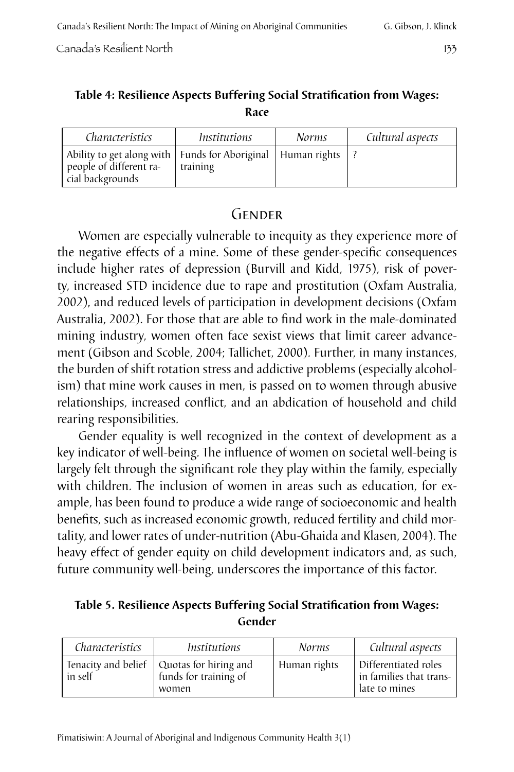#### **Table 4: Resilience Aspects Buffering Social Stratification from Wages: Race**

| Characteristics                                                                                                | <i>Institutions</i> | <i>Norms</i> | Cultural aspects |
|----------------------------------------------------------------------------------------------------------------|---------------------|--------------|------------------|
| Ability to get along with   Funds for Aboriginal   Human rights<br>people of different ra-<br>cial backgrounds | training            |              |                  |

## **GENDER**

Women are especially vulnerable to inequity as they experience more of the negative effects of a mine. Some of these gender-specific consequences include higher rates of depression (Burvill and Kidd, 1975), risk of poverty, increased STD incidence due to rape and prostitution (Oxfam Australia, 2002), and reduced levels of participation in development decisions (Oxfam Australia, 2002). For those that are able to find work in the male-dominated mining industry, women often face sexist views that limit career advancement (Gibson and Scoble, 2004; Tallichet, 2000). Further, in many instances, the burden of shift rotation stress and addictive problems (especially alcoholism) that mine work causes in men, is passed on to women through abusive relationships, increased conflict, and an abdication of household and child rearing responsibilities.

Gender equality is well recognized in the context of development as a key indicator of well-being. The influence of women on societal well-being is largely felt through the significant role they play within the family, especially with children. The inclusion of women in areas such as education, for example, has been found to produce a wide range of socioeconomic and health benefits, such as increased economic growth, reduced fertility and child mortality, and lower rates of under-nutrition (Abu-Ghaida and Klasen, 2004). The heavy effect of gender equity on child development indicators and, as such, future community well-being, underscores the importance of this factor.

#### **Table 5. Resilience Aspects Buffering Social Stratification from Wages: Gender**

| Characteristics | <i>Institutions</i>                                                                 | <i>Norms</i> | Cultural aspects                                                              |
|-----------------|-------------------------------------------------------------------------------------|--------------|-------------------------------------------------------------------------------|
| in self         | Tenacity and belief $\vert$ Quotas for hiring and<br>funds for training of<br>women | Human rights | Differentiated roles<br><sup>1</sup> in families that trans-<br>late to mines |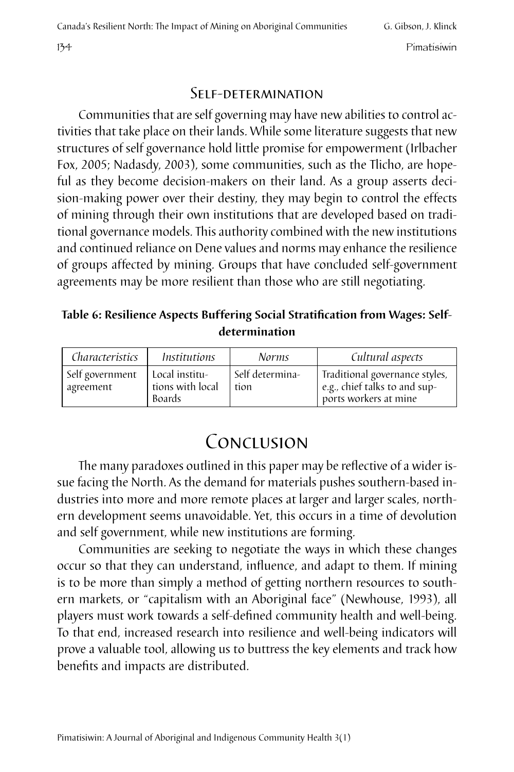#### Self-determination

Communities that are self governing may have new abilities to control activities that take place on their lands. While some literature suggests that new structures of self governance hold little promise for empowerment (Irlbacher Fox, 2005; Nadasdy, 2003), some communities, such as the Tlicho, are hopeful as they become decision-makers on their land. As a group asserts decision-making power over their destiny, they may begin to control the effects of mining through their own institutions that are developed based on traditional governance models. This authority combined with the new institutions and continued reliance on Dene values and norms may enhance the resilience of groups affected by mining. Groups that have concluded self-government agreements may be more resilient than those who are still negotiating.

#### **Table 6: Resilience Aspects Buffering Social Stratification from Wages: Selfdetermination**

| Characteristics              | Institutions                                        | <b>Norms</b>            | Cultural aspects                                                                         |
|------------------------------|-----------------------------------------------------|-------------------------|------------------------------------------------------------------------------------------|
| Self government<br>agreement | Local institu-<br>tions with local<br><b>Boards</b> | Self determina-<br>tion | Traditional governance styles,<br>e.g., chief talks to and sup-<br>ports workers at mine |

# CONCLUSION

The many paradoxes outlined in this paper may be reflective of a wider issue facing the North. As the demand for materials pushes southern-based industries into more and more remote places at larger and larger scales, northern development seems unavoidable. Yet, this occurs in a time of devolution and self government, while new institutions are forming.

Communities are seeking to negotiate the ways in which these changes occur so that they can understand, influence, and adapt to them. If mining is to be more than simply a method of getting northern resources to southern markets, or "capitalism with an Aboriginal face" (Newhouse, 1993), all players must work towards a self-defined community health and well-being. To that end, increased research into resilience and well-being indicators will prove a valuable tool, allowing us to buttress the key elements and track how benefits and impacts are distributed.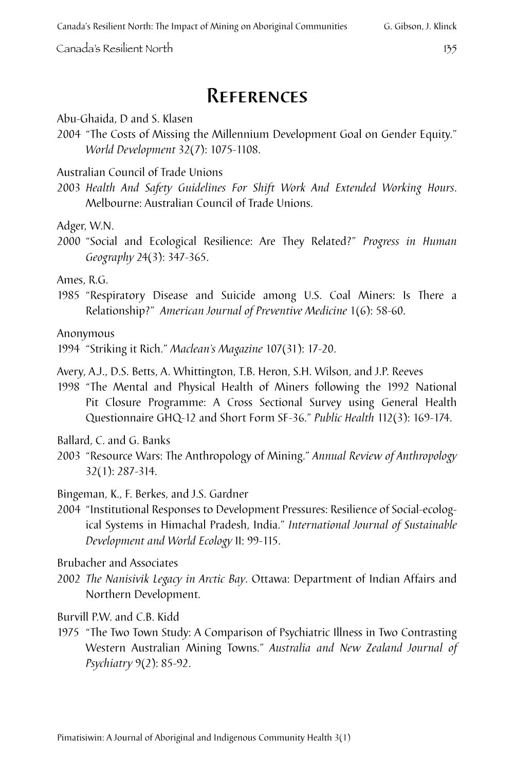# **REFERENCES**

Abu-Ghaida, D and S. Klasen

2004 "The Costs of Missing the Millennium Development Goal on Gender Equity." *World Development* 32(7): 1075-1108.

Australian Council of Trade Unions

2003 *Health And Safety Guidelines For Shift Work And Extended Working Hours*. Melbourne: Australian Council of Trade Unions.

Adger, W.N.

2000 "Social and Ecological Resilience: Are They Related?" *Progress in Human Geography* 24(3): 347-365.

Ames, R.G.

1985 "Respiratory Disease and Suicide among U.S. Coal Miners: Is There a Relationship?" *American Journal of Preventive Medicine* 1(6): 58-60.

Anonymous

1994 "Striking it Rich." *Maclean's Magazine* 107(31): 17-20.

- Avery, A.J., D.S. Betts, A. Whittington, T.B. Heron, S.H. Wilson, and J.P. Reeves
- 1998 "The Mental and Physical Health of Miners following the 1992 National Pit Closure Programme: A Cross Sectional Survey using General Health Questionnaire GHQ-12 and Short Form SF-36." *Public Health* 112(3): 169-174.

Ballard, C. and G. Banks

2003 "Resource Wars: The Anthropology of Mining." *Annual Review of Anthropology*  32(1): 287-314.

Bingeman, K., F. Berkes, and J.S. Gardner

2004 "Institutional Responses to Development Pressures: Resilience of Social-ecological Systems in Himachal Pradesh, India." *International Journal of Sustainable Development and World Ecology* II: 99-115.

Brubacher and Associates

2002 *The Nanisivik Legacy in Arctic Bay*. Ottawa: Department of Indian Affairs and Northern Development.

Burvill P.W. and C.B. Kidd

1975 "The Two Town Study: A Comparison of Psychiatric Illness in Two Contrasting Western Australian Mining Towns." *Australia and New Zealand Journal of Psychiatry* 9(2): 85-92.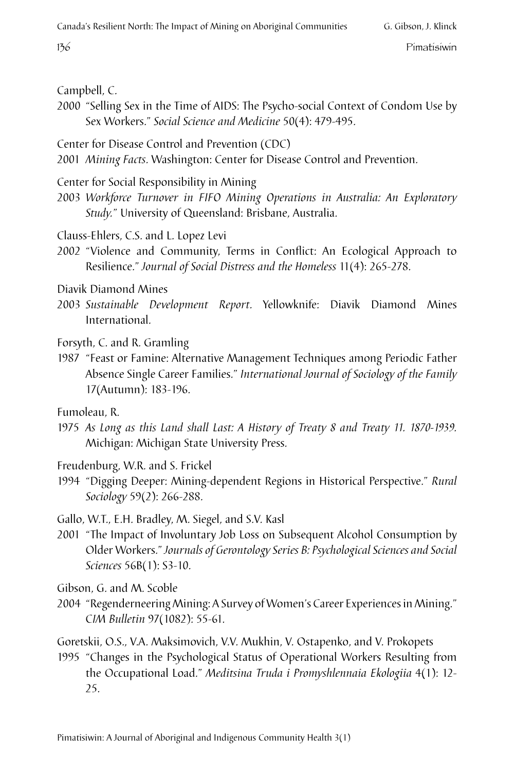#### Campbell, C.

2000 "Selling Sex in the Time of AIDS: The Psycho-social Context of Condom Use by Sex Workers." *Social Science and Medicine* 50(4): 479-495.

Center for Disease Control and Prevention (CDC)

2001 *Mining Facts*. Washington: Center for Disease Control and Prevention.

Center for Social Responsibility in Mining

2003 *Workforce Turnover in FIFO Mining Operations in Australia: An Exploratory Study.*" University of Queensland: Brisbane, Australia.

- Clauss-Ehlers, C.S. and L. Lopez Levi
- 2002 "Violence and Community, Terms in Conflict: An Ecological Approach to Resilience." *Journal of Social Distress and the Homeless* 11(4): 265-278.
- Diavik Diamond Mines
- 2003 *Sustainable Development Report*. Yellowknife: Diavik Diamond Mines International.

Forsyth, C. and R. Gramling

1987 "Feast or Famine: Alternative Management Techniques among Periodic Father Absence Single Career Families." *International Journal of Sociology of the Family* 17(Autumn): 183-196.

Fumoleau, R.

1975 *As Long as this Land shall Last: A History of Treaty 8 and Treaty 11. 1870-1939.*  Michigan: Michigan State University Press.

Freudenburg, W.R. and S. Frickel

1994 "Digging Deeper: Mining-dependent Regions in Historical Perspective." *Rural Sociology* 59(2): 266-288.

Gallo, W.T., E.H. Bradley, M. Siegel, and S.V. Kasl

2001 "The Impact of Involuntary Job Loss on Subsequent Alcohol Consumption by Older Workers." *Journals of Gerontology Series B: Psychological Sciences and Social Sciences* 56B(1): S3-10.

Gibson, G. and M. Scoble

2004 "Regenderneering Mining: A Survey of Women's Career Experiences in Mining." C*IM Bulletin* 97(1082): 55-61.

Goretskii, O.S., V.A. Maksimovich, V.V. Mukhin, V. Ostapenko, and V. Prokopets

1995 "Changes in the Psychological Status of Operational Workers Resulting from the Occupational Load." *Meditsina Truda i Promyshlennaia Ekologiia* 4(1): 12- 25.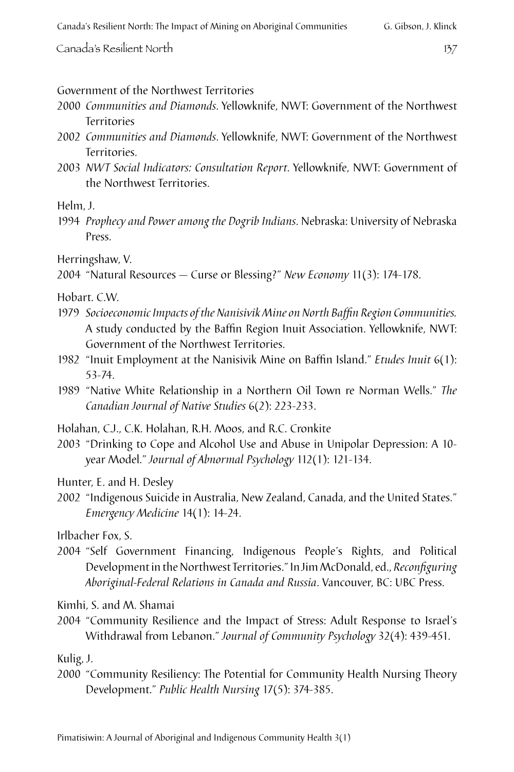#### Government of the Northwest Territories

- 2000 *Communities and Diamonds*. Yellowknife, NWT: Government of the Northwest Territories
- 2002 *Communities and Diamonds*. Yellowknife, NWT: Government of the Northwest Territories.
- 2003 *NWT Social Indicators: Consultation Report*. Yellowknife, NWT: Government of the Northwest Territories.

Helm, J.

1994 *Prophecy and Power among the Dogrib Indians*. Nebraska: University of Nebraska Press.

Herringshaw, V.

2004 "Natural Resources — Curse or Blessing?" *New Economy* 11(3): 174-178.

Hobart. C.W.

- 1979 *Socioeconomic Impacts of the Nanisivik Mine on North Baffin Region Communities.* A study conducted by the Baffin Region Inuit Association. Yellowknife, NWT: Government of the Northwest Territories.
- 1982 "Inuit Employment at the Nanisivik Mine on Baffin Island." *Etudes Inuit* 6(1): 53-74.
- 1989 "Native White Relationship in a Northern Oil Town re Norman Wells." *The Canadian Journal of Native Studies* 6(2): 223-233.

Holahan, C.J., C.K. Holahan, R.H. Moos, and R.C. Cronkite

2003 "Drinking to Cope and Alcohol Use and Abuse in Unipolar Depression: A 10 year Model." *Journal of Abnormal Psychology* 112(1): 121-134.

Hunter, E. and H. Desley

2002 "Indigenous Suicide in Australia, New Zealand, Canada, and the United States." *Emergency Medicine* 14(1): 14-24.

Irlbacher Fox, S.

2004 "Self Government Financing, Indigenous People's Rights, and Political Development in the Northwest Territories." In Jim McDonald, ed., *Reconfiguring Aboriginal-Federal Relations in Canada and Russia*. Vancouver, BC: UBC Press.

Kimhi, S. and M. Shamai

2004 "Community Resilience and the Impact of Stress: Adult Response to Israel's Withdrawal from Lebanon." *Journal of Community Psychology* 32(4): 439-451.

Kulig, J.

2000 "Community Resiliency: The Potential for Community Health Nursing Theory Development." *Public Health Nursing* 17(5): 374-385.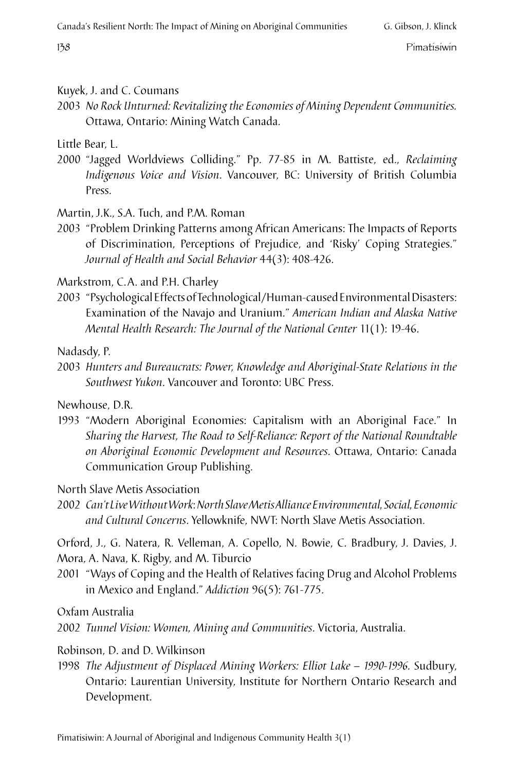#### Kuyek, J. and C. Coumans

2003 *No Rock Unturned: Revitalizing the Economies of Mining Dependent Communities.*  Ottawa, Ontario: Mining Watch Canada.

Little Bear, L.

2000 "Jagged Worldviews Colliding." Pp. 77-85 in M. Battiste, ed., *Reclaiming Indigenous Voice and Vision*. Vancouver, BC: University of British Columbia Press.

Martin, J.K., S.A. Tuch, and P.M. Roman

2003 "Problem Drinking Patterns among African Americans: The Impacts of Reports of Discrimination, Perceptions of Prejudice, and 'Risky' Coping Strategies." *Journal of Health and Social Behavior* 44(3): 408-426.

Markstrom, C.A. and P.H. Charley

2003 "Psychological Effects of Technological/Human-caused Environmental Disasters: Examination of the Navajo and Uranium." *American Indian and Alaska Native Mental Health Research: The Journal of the National Center* 11(1): 19-46.

Nadasdy, P.

2003 *Hunters and Bureaucrats: Power, Knowledge and Aboriginal-State Relations in the Southwest Yukon*. Vancouver and Toronto: UBC Press.

Newhouse, D.R.

1993 "Modern Aboriginal Economies: Capitalism with an Aboriginal Face." In *Sharing the Harvest, The Road to Self-Reliance: Report of the National Roundtable on Aboriginal Economic Development and Resources*. Ottawa, Ontario: Canada Communication Group Publishing.

North Slave Metis Association

2002 *Can't Live Without Work*: *North Slave Metis Alliance Environmental, Social, Economic and Cultural Concerns*. Yellowknife, NWT: North Slave Metis Association.

Orford, J., G. Natera, R. Velleman, A. Copello, N. Bowie, C. Bradbury, J. Davies, J. Mora, A. Nava, K. Rigby, and M. Tiburcio

2001 "Ways of Coping and the Health of Relatives facing Drug and Alcohol Problems in Mexico and England." *Addiction* 96(5): 761-775.

Oxfam Australia

2002 *Tunnel Vision: Women, Mining and Communities*. Victoria, Australia.

Robinson, D. and D. Wilkinson

1998 *The Adjustment of Displaced Mining Workers: Elliot Lake – 1990-1996.* Sudbury, Ontario: Laurentian University, Institute for Northern Ontario Research and Development.